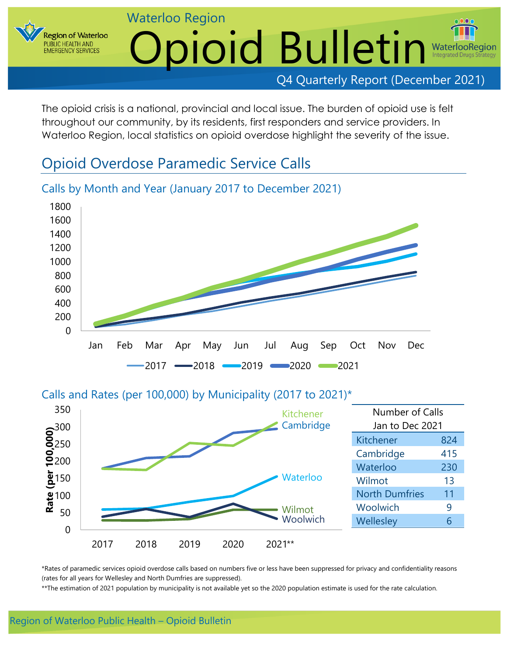**Region of Waterloo** PUBLIC HEALTH AND **EMERGENCY SERVICES** 

# Waterloo Region Opioid Bulletin Waterloc

### Q4 Quarterly Report (December 2021)

The opioid crisis is a national, provincial and local issue. The burden of opioid use is felt throughout our community, by its residents, first responders and service providers. In Waterloo Region, local statistics on opioid overdose highlight the severity of the issue.

# Opioid Overdose Paramedic Service Calls



# Calls by Month and Year (January 2017 to December 2021)

### Calls and Rates (per 100,000) by Municipality (2017 to 2021)\*



\*Rates of paramedic services opioid overdose calls based on numbers five or less have been suppressed for privacy and confidentiality reasons (rates for all years for Wellesley and North Dumfries are suppressed).

\*\*The estimation of 2021 population by municipality is not available yet so the 2020 population estimate is used for the rate calculation.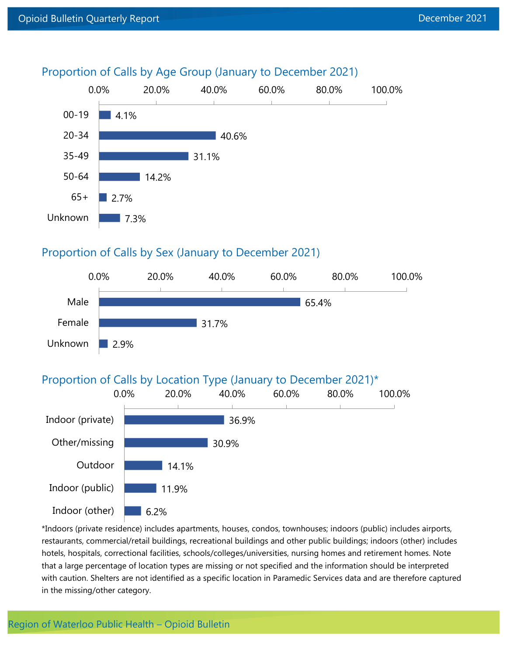

### Proportion of Calls by Age Group (January to December 2021)

#### Proportion of Calls by Sex (January to December 2021)



#### Proportion of Calls by Location Type (January to December 2021)\*



\*Indoors (private residence) includes apartments, houses, condos, townhouses; indoors (public) includes airports, restaurants, commercial/retail buildings, recreational buildings and other public buildings; indoors (other) includes hotels, hospitals, correctional facilities, schools/colleges/universities, nursing homes and retirement homes. Note that a large percentage of location types are missing or not specified and the information should be interpreted with caution. Shelters are not identified as a specific location in Paramedic Services data and are therefore captured in the missing/other category.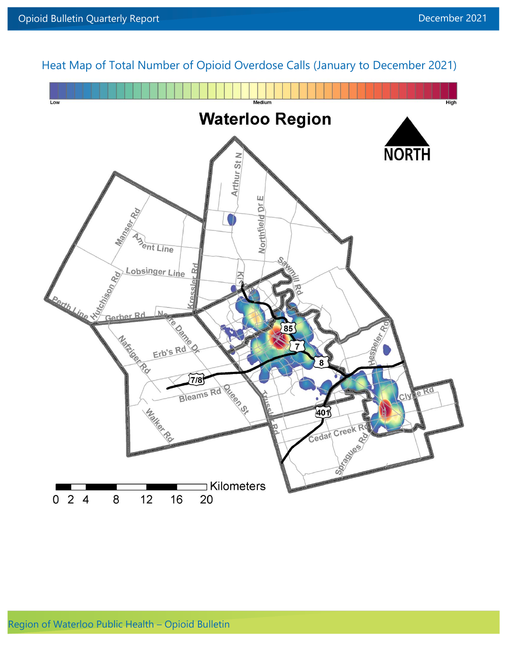

Heat Map of Total Number of Opioid Overdose Calls (January to December 2021)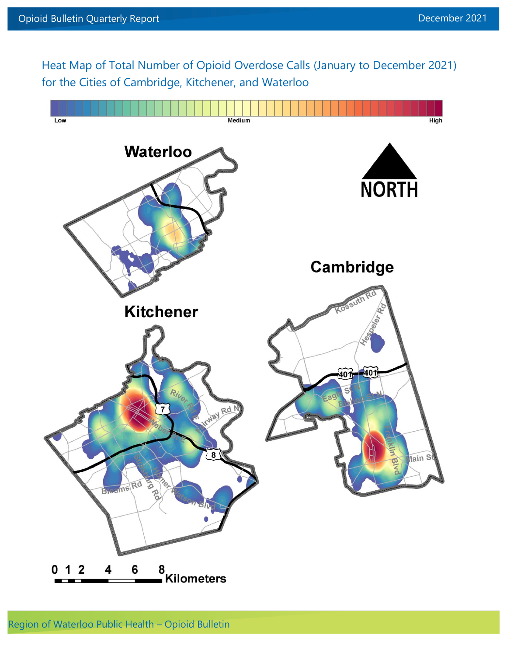Heat Map of Total Number of Opioid Overdose Calls (January to December 2021) for the Cities of Cambridge, Kitchener, and Waterloo

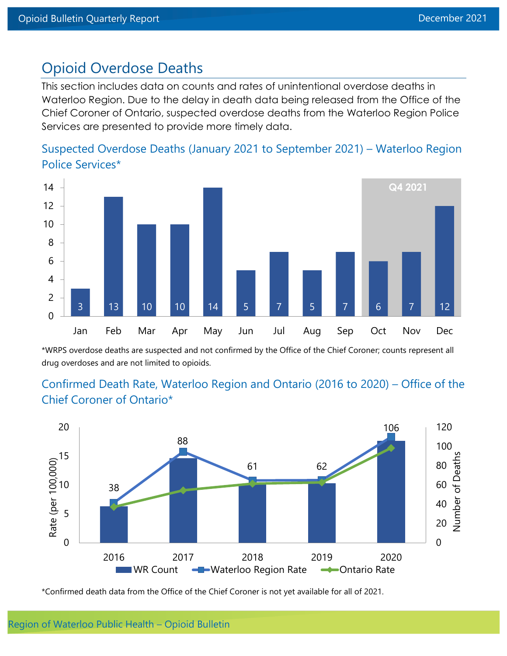# Opioid Overdose Deaths

This section includes data on counts and rates of unintentional overdose deaths in Waterloo Region. Due to the delay in death data being released from the Office of the Chief Coroner of Ontario, suspected overdose deaths from the Waterloo Region Police Services are presented to provide more timely data.





\*WRPS overdose deaths are suspected and not confirmed by the Office of the Chief Coroner; counts represent all drug overdoses and are not limited to opioids.

# Confirmed Death Rate, Waterloo Region and Ontario (2016 to 2020) – Office of the Chief Coroner of Ontario\*



\*Confirmed death data from the Office of the Chief Coroner is not yet available for all of 2021.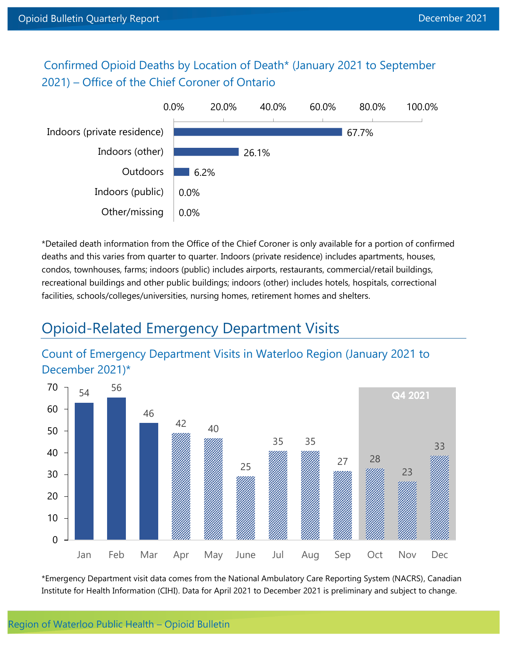Confirmed Opioid Deaths by Location of Death\* (January 2021 to September 2021) – Office of the Chief Coroner of Ontario



\*Detailed death information from the Office of the Chief Coroner is only available for a portion of confirmed deaths and this varies from quarter to quarter. Indoors (private residence) includes apartments, houses, condos, townhouses, farms; indoors (public) includes airports, restaurants, commercial/retail buildings, recreational buildings and other public buildings; indoors (other) includes hotels, hospitals, correctional facilities, schools/colleges/universities, nursing homes, retirement homes and shelters.

# Opioid-Related Emergency Department Visits

### Count of Emergency Department Visits in Waterloo Region (January 2021 to December 2021)\*



\*Emergency Department visit data comes from the National Ambulatory Care Reporting System (NACRS), Canadian Institute for Health Information (CIHI). Data for April 2021 to December 2021 is preliminary and subject to change.